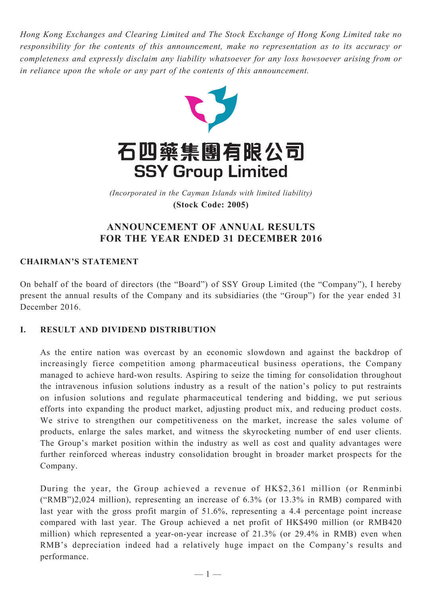*Hong Kong Exchanges and Clearing Limited and The Stock Exchange of Hong Kong Limited take no responsibility for the contents of this announcement, make no representation as to its accuracy or completeness and expressly disclaim any liability whatsoever for any loss howsoever arising from or in reliance upon the whole or any part of the contents of this announcement.*



(Incorporated in the Cayman Islands with limited liability) *(Incorporated in the Cayman Islands with limited liability)* **(Stock Code: 2005) (Stock Code: 2005)**

# **ANNOUNCEMENT OF ANNUAL RESULTS FOR THE YEAR ENDED 31 DECEMBER 2016**

# **CHAIRMAN'S STATEMENT**

On behalf of the board of directors (the "Board") of SSY Group Limited (the "Company"), I hereby present the annual results of the Company and its subsidiaries (the "Group") for the year ended 31 December 2016.

# **I. RESULT AND DIVIDEND DISTRIBUTION**

As the entire nation was overcast by an economic slowdown and against the backdrop of increasingly fierce competition among pharmaceutical business operations, the Company managed to achieve hard-won results. Aspiring to seize the timing for consolidation throughout the intravenous infusion solutions industry as a result of the nation's policy to put restraints on infusion solutions and regulate pharmaceutical tendering and bidding, we put serious efforts into expanding the product market, adjusting product mix, and reducing product costs. We strive to strengthen our competitiveness on the market, increase the sales volume of products, enlarge the sales market, and witness the skyrocketing number of end user clients. The Group's market position within the industry as well as cost and quality advantages were further reinforced whereas industry consolidation brought in broader market prospects for the Company.

During the year, the Group achieved a revenue of HK\$2,361 million (or Renminbi ("RMB")2,024 million), representing an increase of 6.3% (or 13.3% in RMB) compared with last year with the gross profit margin of 51.6%, representing a 4.4 percentage point increase compared with last year. The Group achieved a net profit of HK\$490 million (or RMB420 million) which represented a year-on-year increase of 21.3% (or 29.4% in RMB) even when RMB's depreciation indeed had a relatively huge impact on the Company's results and performance.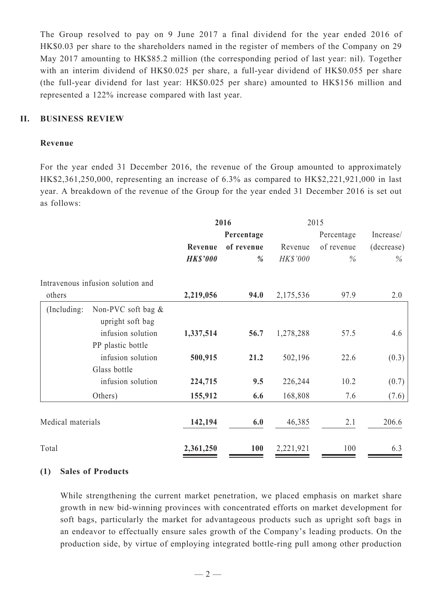The Group resolved to pay on 9 June 2017 a final dividend for the year ended 2016 of HK\$0.03 per share to the shareholders named in the register of members of the Company on 29 May 2017 amounting to HK\$85.2 million (the corresponding period of last year: nil). Together with an interim dividend of HK\$0.025 per share, a full-year dividend of HK\$0.055 per share (the full-year dividend for last year: HK\$0.025 per share) amounted to HK\$156 million and represented a 122% increase compared with last year.

## **II. BUSINESS REVIEW**

#### **Revenue**

For the year ended 31 December 2016, the revenue of the Group amounted to approximately HK\$2,361,250,000, representing an increase of 6.3% as compared to HK\$2,221,921,000 in last year. A breakdown of the revenue of the Group for the year ended 31 December 2016 is set out as follows:

|                   |                                        | 2016            |               | 2015      |            |            |  |
|-------------------|----------------------------------------|-----------------|---------------|-----------|------------|------------|--|
|                   |                                        |                 | Percentage    |           | Percentage | Increase/  |  |
|                   |                                        | Revenue         | of revenue    | Revenue   | of revenue | (decrease) |  |
|                   |                                        | <b>HK\$'000</b> | $\frac{0}{0}$ | HK\$'000  | $\%$       | $\%$       |  |
|                   | Intravenous infusion solution and      |                 |               |           |            |            |  |
| others            |                                        | 2,219,056       | 94.0          | 2,175,536 | 97.9       | 2.0        |  |
| (Including:       | Non-PVC soft bag &<br>upright soft bag |                 |               |           |            |            |  |
|                   | infusion solution                      | 1,337,514       | 56.7          | 1,278,288 | 57.5       | 4.6        |  |
|                   | PP plastic bottle                      |                 |               |           |            |            |  |
|                   | infusion solution                      | 500,915         | 21.2          | 502,196   | 22.6       | (0.3)      |  |
|                   | Glass bottle                           |                 |               |           |            |            |  |
|                   | infusion solution                      | 224,715         | 9.5           | 226,244   | 10.2       | (0.7)      |  |
|                   | Others)                                | 155,912         | 6.6           | 168,808   | 7.6        | (7.6)      |  |
| Medical materials |                                        | 142,194         | 6.0           | 46,385    | 2.1        | 206.6      |  |
|                   |                                        |                 |               |           |            |            |  |
| Total             |                                        | 2,361,250       | <b>100</b>    | 2,221,921 | 100        | 6.3        |  |

## **(1) Sales of Products**

While strengthening the current market penetration, we placed emphasis on market share growth in new bid-winning provinces with concentrated efforts on market development for soft bags, particularly the market for advantageous products such as upright soft bags in an endeavor to effectually ensure sales growth of the Company's leading products. On the production side, by virtue of employing integrated bottle-ring pull among other production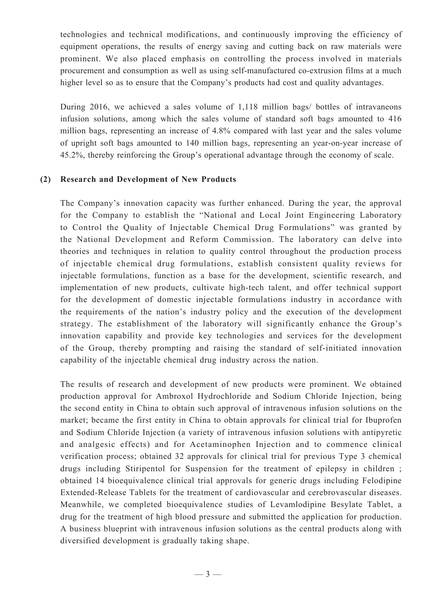technologies and technical modifications, and continuously improving the efficiency of equipment operations, the results of energy saving and cutting back on raw materials were prominent. We also placed emphasis on controlling the process involved in materials procurement and consumption as well as using self-manufactured co-extrusion films at a much higher level so as to ensure that the Company's products had cost and quality advantages.

During 2016, we achieved a sales volume of 1,118 million bags/ bottles of intravaneons infusion solutions, among which the sales volume of standard soft bags amounted to 416 million bags, representing an increase of 4.8% compared with last year and the sales volume of upright soft bags amounted to 140 million bags, representing an year-on-year increase of 45.2%, thereby reinforcing the Group's operational advantage through the economy of scale.

#### **(2) Research and Development of New Products**

The Company's innovation capacity was further enhanced. During the year, the approval for the Company to establish the "National and Local Joint Engineering Laboratory to Control the Quality of Injectable Chemical Drug Formulations" was granted by the National Development and Reform Commission. The laboratory can delve into theories and techniques in relation to quality control throughout the production process of injectable chemical drug formulations, establish consistent quality reviews for injectable formulations, function as a base for the development, scientific research, and implementation of new products, cultivate high-tech talent, and offer technical support for the development of domestic injectable formulations industry in accordance with the requirements of the nation's industry policy and the execution of the development strategy. The establishment of the laboratory will significantly enhance the Group's innovation capability and provide key technologies and services for the development of the Group, thereby prompting and raising the standard of self-initiated innovation capability of the injectable chemical drug industry across the nation.

The results of research and development of new products were prominent. We obtained production approval for Ambroxol Hydrochloride and Sodium Chloride Injection, being the second entity in China to obtain such approval of intravenous infusion solutions on the market; became the first entity in China to obtain approvals for clinical trial for Ibuprofen and Sodium Chloride Injection (a variety of intravenous infusion solutions with antipyretic and analgesic effects) and for Acetaminophen Injection and to commence clinical verification process; obtained 32 approvals for clinical trial for previous Type 3 chemical drugs including Stiripentol for Suspension for the treatment of epilepsy in children ; obtained 14 bioequivalence clinical trial approvals for generic drugs including Felodipine Extended-Release Tablets for the treatment of cardiovascular and cerebrovascular diseases. Meanwhile, we completed bioequivalence studies of Levamlodipine Besylate Tablet, a drug for the treatment of high blood pressure and submitted the application for production. A business blueprint with intravenous infusion solutions as the central products along with diversified development is gradually taking shape.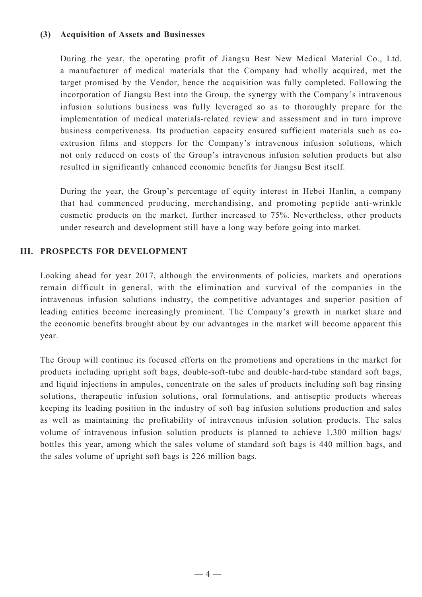## **(3) Acquisition of Assets and Businesses**

During the year, the operating profit of Jiangsu Best New Medical Material Co., Ltd. a manufacturer of medical materials that the Company had wholly acquired, met the target promised by the Vendor, hence the acquisition was fully completed. Following the incorporation of Jiangsu Best into the Group, the synergy with the Company's intravenous infusion solutions business was fully leveraged so as to thoroughly prepare for the implementation of medical materials-related review and assessment and in turn improve business competiveness. Its production capacity ensured sufficient materials such as coextrusion films and stoppers for the Company's intravenous infusion solutions, which not only reduced on costs of the Group's intravenous infusion solution products but also resulted in significantly enhanced economic benefits for Jiangsu Best itself.

During the year, the Group's percentage of equity interest in Hebei Hanlin, a company that had commenced producing, merchandising, and promoting peptide anti-wrinkle cosmetic products on the market, further increased to 75%. Nevertheless, other products under research and development still have a long way before going into market.

## **III. Prospects for Development**

Looking ahead for year 2017, although the environments of policies, markets and operations remain difficult in general, with the elimination and survival of the companies in the intravenous infusion solutions industry, the competitive advantages and superior position of leading entities become increasingly prominent. The Company's growth in market share and the economic benefits brought about by our advantages in the market will become apparent this year.

The Group will continue its focused efforts on the promotions and operations in the market for products including upright soft bags, double-soft-tube and double-hard-tube standard soft bags, and liquid injections in ampules, concentrate on the sales of products including soft bag rinsing solutions, therapeutic infusion solutions, oral formulations, and antiseptic products whereas keeping its leading position in the industry of soft bag infusion solutions production and sales as well as maintaining the profitability of intravenous infusion solution products. The sales volume of intravenous infusion solution products is planned to achieve 1,300 million bags/ bottles this year, among which the sales volume of standard soft bags is 440 million bags, and the sales volume of upright soft bags is 226 million bags.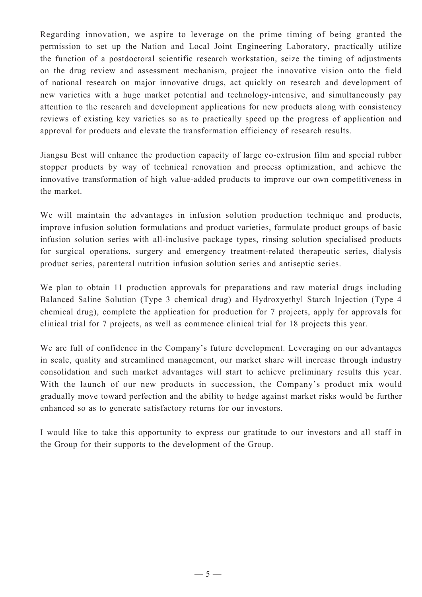Regarding innovation, we aspire to leverage on the prime timing of being granted the permission to set up the Nation and Local Joint Engineering Laboratory, practically utilize the function of a postdoctoral scientific research workstation, seize the timing of adjustments on the drug review and assessment mechanism, project the innovative vision onto the field of national research on major innovative drugs, act quickly on research and development of new varieties with a huge market potential and technology-intensive, and simultaneously pay attention to the research and development applications for new products along with consistency reviews of existing key varieties so as to practically speed up the progress of application and approval for products and elevate the transformation efficiency of research results.

Jiangsu Best will enhance the production capacity of large co-extrusion film and special rubber stopper products by way of technical renovation and process optimization, and achieve the innovative transformation of high value-added products to improve our own competitiveness in the market.

We will maintain the advantages in infusion solution production technique and products, improve infusion solution formulations and product varieties, formulate product groups of basic infusion solution series with all-inclusive package types, rinsing solution specialised products for surgical operations, surgery and emergency treatment-related therapeutic series, dialysis product series, parenteral nutrition infusion solution series and antiseptic series.

We plan to obtain 11 production approvals for preparations and raw material drugs including Balanced Saline Solution (Type 3 chemical drug) and Hydroxyethyl Starch Injection (Type 4 chemical drug), complete the application for production for 7 projects, apply for approvals for clinical trial for 7 projects, as well as commence clinical trial for 18 projects this year.

We are full of confidence in the Company's future development. Leveraging on our advantages in scale, quality and streamlined management, our market share will increase through industry consolidation and such market advantages will start to achieve preliminary results this year. With the launch of our new products in succession, the Company's product mix would gradually move toward perfection and the ability to hedge against market risks would be further enhanced so as to generate satisfactory returns for our investors.

I would like to take this opportunity to express our gratitude to our investors and all staff in the Group for their supports to the development of the Group.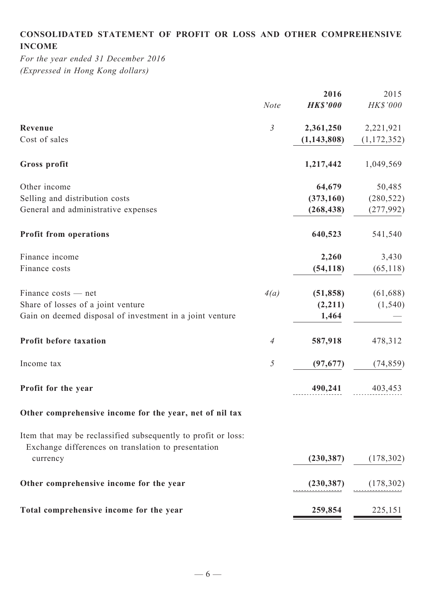# **Consolidated statement of profit or loss and other comprehensive income**

*For the year ended 31 December 2016 (Expressed in Hong Kong dollars)*

|                                                                                                                      | <b>Note</b>    | 2016<br><b>HK\$'000</b> | 2015<br>HK\$'000 |
|----------------------------------------------------------------------------------------------------------------------|----------------|-------------------------|------------------|
|                                                                                                                      |                |                         |                  |
| Revenue                                                                                                              | $\mathfrak{Z}$ | 2,361,250               | 2,221,921        |
| Cost of sales                                                                                                        |                | (1, 143, 808)           | (1, 172, 352)    |
| Gross profit                                                                                                         |                | 1,217,442               | 1,049,569        |
| Other income                                                                                                         |                | 64,679                  | 50,485           |
| Selling and distribution costs                                                                                       |                | (373, 160)              | (280, 522)       |
| General and administrative expenses                                                                                  |                | (268, 438)              | (277, 992)       |
| <b>Profit from operations</b>                                                                                        |                | 640,523                 | 541,540          |
| Finance income                                                                                                       |                | 2,260                   | 3,430            |
| Finance costs                                                                                                        |                | (54, 118)               | (65, 118)        |
| Finance costs — net                                                                                                  | 4(a)           | (51, 858)               | (61, 688)        |
| Share of losses of a joint venture                                                                                   |                | (2,211)                 | (1, 540)         |
| Gain on deemed disposal of investment in a joint venture                                                             |                | 1,464                   |                  |
| Profit before taxation                                                                                               | $\overline{4}$ | 587,918                 | 478,312          |
| Income tax                                                                                                           | $\sqrt{2}$     | (97, 677)               | (74, 859)        |
| Profit for the year                                                                                                  |                | 490,241                 | 403,453          |
| Other comprehensive income for the year, net of nil tax                                                              |                |                         |                  |
| Item that may be reclassified subsequently to profit or loss:<br>Exchange differences on translation to presentation |                |                         |                  |
| currency                                                                                                             |                | (230, 387)              | (178, 302)       |
| Other comprehensive income for the year                                                                              |                | (230, 387)              | (178, 302)       |
| Total comprehensive income for the year                                                                              |                | 259,854                 | 225,151          |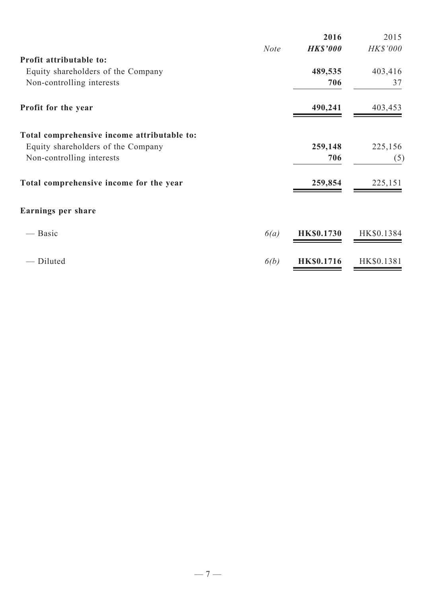|                                             |             | 2016              | 2015       |
|---------------------------------------------|-------------|-------------------|------------|
|                                             | <b>Note</b> | <b>HK\$'000</b>   | HK\$'000   |
| Profit attributable to:                     |             |                   |            |
| Equity shareholders of the Company          |             | 489,535           | 403,416    |
| Non-controlling interests                   |             | 706               | 37         |
| Profit for the year                         |             | 490,241           | 403,453    |
| Total comprehensive income attributable to: |             |                   |            |
| Equity shareholders of the Company          |             | 259,148           | 225,156    |
| Non-controlling interests                   |             | 706               | (5)        |
| Total comprehensive income for the year     |             | 259,854           | 225,151    |
| <b>Earnings per share</b>                   |             |                   |            |
| — Basic                                     | 6(a)        | <b>HK\$0.1730</b> | HK\$0.1384 |
| Diluted                                     | 6(b)        | <b>HK\$0.1716</b> | HK\$0.1381 |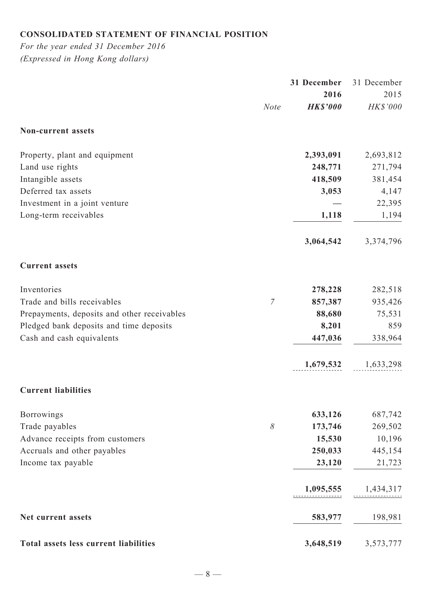# **Consolidated statement of financial position**

*For the year ended 31 December 2016 (Expressed in Hong Kong dollars)*

|                                             |                | 31 December     | 31 December |
|---------------------------------------------|----------------|-----------------|-------------|
|                                             |                | 2016            | 2015        |
|                                             | <b>Note</b>    | <b>HK\$'000</b> | HK\$'000    |
| Non-current assets                          |                |                 |             |
| Property, plant and equipment               |                | 2,393,091       | 2,693,812   |
| Land use rights                             |                | 248,771         | 271,794     |
| Intangible assets                           |                | 418,509         | 381,454     |
| Deferred tax assets                         |                | 3,053           | 4,147       |
| Investment in a joint venture               |                |                 | 22,395      |
| Long-term receivables                       |                | 1,118           | 1,194       |
|                                             |                | 3,064,542       | 3,374,796   |
| <b>Current assets</b>                       |                |                 |             |
| Inventories                                 |                | 278,228         | 282,518     |
| Trade and bills receivables                 | $\overline{7}$ | 857,387         | 935,426     |
| Prepayments, deposits and other receivables |                | 88,680          | 75,531      |
| Pledged bank deposits and time deposits     |                | 8,201           | 859         |
| Cash and cash equivalents                   |                | 447,036         | 338,964     |
|                                             |                | 1,679,532       | 1,633,298   |
| <b>Current liabilities</b>                  |                |                 |             |
| Borrowings                                  |                | 633,126         | 687,742     |
| Trade payables                              | $\delta$       | 173,746         | 269,502     |
| Advance receipts from customers             |                | 15,530          | 10,196      |
| Accruals and other payables                 |                | 250,033         | 445,154     |
| Income tax payable                          |                | 23,120          | 21,723      |
|                                             |                | 1,095,555       | 1,434,317   |
| Net current assets                          |                | 583,977         | 198,981     |
| Total assets less current liabilities       |                | 3,648,519       | 3,573,777   |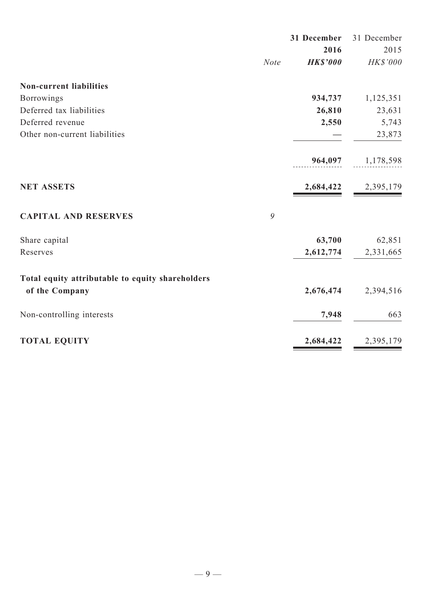|                                                  |             | 31 December     | 31 December |  |
|--------------------------------------------------|-------------|-----------------|-------------|--|
|                                                  |             | 2016            | 2015        |  |
|                                                  | <b>Note</b> | <b>HK\$'000</b> | HK\$'000    |  |
| <b>Non-current liabilities</b>                   |             |                 |             |  |
| <b>Borrowings</b>                                |             | 934,737         | 1,125,351   |  |
| Deferred tax liabilities                         |             | 26,810          | 23,631      |  |
| Deferred revenue                                 |             | 2,550           | 5,743       |  |
| Other non-current liabilities                    |             |                 | 23,873      |  |
|                                                  |             | 964,097         | 1,178,598   |  |
| <b>NET ASSETS</b>                                |             | 2,684,422       | 2,395,179   |  |
| <b>CAPITAL AND RESERVES</b>                      | 9           |                 |             |  |
| Share capital                                    |             | 63,700          | 62,851      |  |
| Reserves                                         |             | 2,612,774       | 2,331,665   |  |
| Total equity attributable to equity shareholders |             |                 |             |  |
| of the Company                                   |             | 2,676,474       | 2,394,516   |  |
| Non-controlling interests                        |             | 7,948           | 663         |  |
| <b>TOTAL EQUITY</b>                              |             | 2,684,422       | 2,395,179   |  |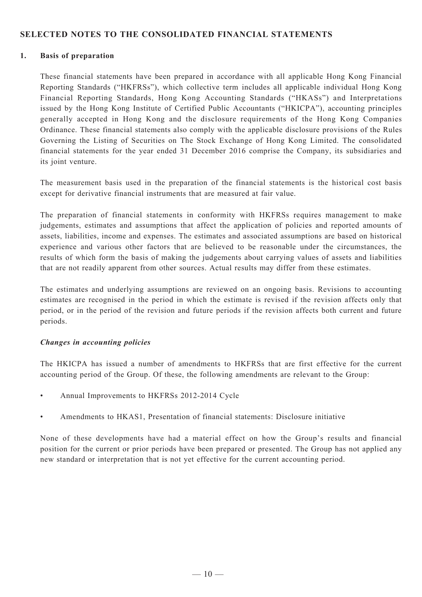## **SELECTED NOTES TO THE CONSOLIDATED FINANCIAL STATEMENTS**

#### **1. Basis of preparation**

These financial statements have been prepared in accordance with all applicable Hong Kong Financial Reporting Standards ("HKFRSs"), which collective term includes all applicable individual Hong Kong Financial Reporting Standards, Hong Kong Accounting Standards ("HKASs") and Interpretations issued by the Hong Kong Institute of Certified Public Accountants ("HKICPA"), accounting principles generally accepted in Hong Kong and the disclosure requirements of the Hong Kong Companies Ordinance. These financial statements also comply with the applicable disclosure provisions of the Rules Governing the Listing of Securities on The Stock Exchange of Hong Kong Limited. The consolidated financial statements for the year ended 31 December 2016 comprise the Company, its subsidiaries and its joint venture.

The measurement basis used in the preparation of the financial statements is the historical cost basis except for derivative financial instruments that are measured at fair value.

The preparation of financial statements in conformity with HKFRSs requires management to make judgements, estimates and assumptions that affect the application of policies and reported amounts of assets, liabilities, income and expenses. The estimates and associated assumptions are based on historical experience and various other factors that are believed to be reasonable under the circumstances, the results of which form the basis of making the judgements about carrying values of assets and liabilities that are not readily apparent from other sources. Actual results may differ from these estimates.

The estimates and underlying assumptions are reviewed on an ongoing basis. Revisions to accounting estimates are recognised in the period in which the estimate is revised if the revision affects only that period, or in the period of the revision and future periods if the revision affects both current and future periods.

## *Changes in accounting policies*

The HKICPA has issued a number of amendments to HKFRSs that are first effective for the current accounting period of the Group. Of these, the following amendments are relevant to the Group:

- Annual Improvements to HKFRSs 2012-2014 Cycle
- • Amendments to HKAS1, Presentation of financial statements: Disclosure initiative

None of these developments have had a material effect on how the Group's results and financial position for the current or prior periods have been prepared or presented. The Group has not applied any new standard or interpretation that is not yet effective for the current accounting period.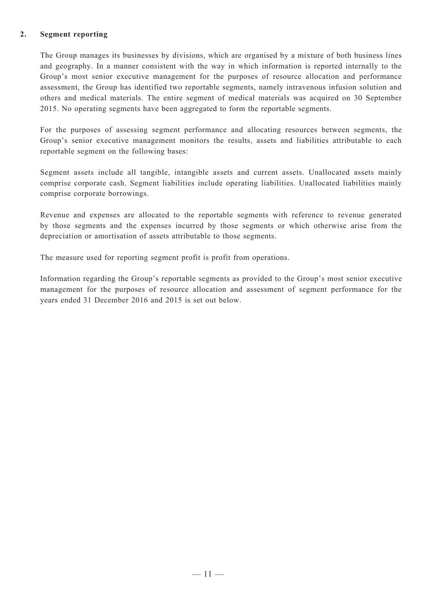#### **2. Segment reporting**

The Group manages its businesses by divisions, which are organised by a mixture of both business lines and geography. In a manner consistent with the way in which information is reported internally to the Group's most senior executive management for the purposes of resource allocation and performance assessment, the Group has identified two reportable segments, namely intravenous infusion solution and others and medical materials. The entire segment of medical materials was acquired on 30 September 2015. No operating segments have been aggregated to form the reportable segments.

For the purposes of assessing segment performance and allocating resources between segments, the Group's senior executive management monitors the results, assets and liabilities attributable to each reportable segment on the following bases:

Segment assets include all tangible, intangible assets and current assets. Unallocated assets mainly comprise corporate cash. Segment liabilities include operating liabilities. Unallocated liabilities mainly comprise corporate borrowings.

Revenue and expenses are allocated to the reportable segments with reference to revenue generated by those segments and the expenses incurred by those segments or which otherwise arise from the depreciation or amortisation of assets attributable to those segments.

The measure used for reporting segment profit is profit from operations.

Information regarding the Group's reportable segments as provided to the Group's most senior executive management for the purposes of resource allocation and assessment of segment performance for the years ended 31 December 2016 and 2015 is set out below.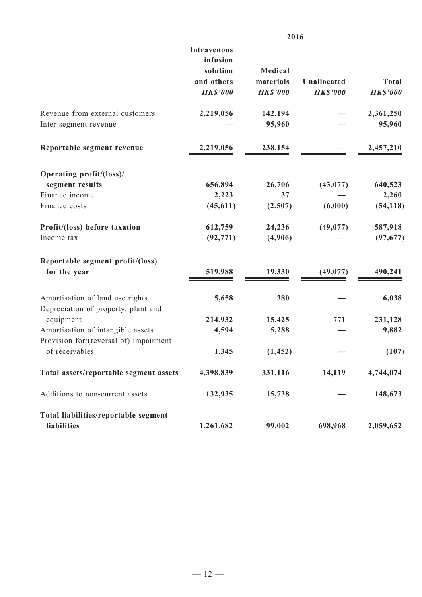|                                                                        | 2016                                                                        |                                         |                                |                                 |
|------------------------------------------------------------------------|-----------------------------------------------------------------------------|-----------------------------------------|--------------------------------|---------------------------------|
|                                                                        | <b>Intravenous</b><br>infusion<br>solution<br>and others<br><b>HK\$'000</b> | Medical<br>materials<br><b>HK\$'000</b> | Unallocated<br><b>HK\$'000</b> | <b>Total</b><br><b>HK\$'000</b> |
| Revenue from external customers<br>Inter-segment revenue               | 2,219,056                                                                   | 142,194<br>95,960                       |                                | 2,361,250<br>95,960             |
| Reportable segment revenue                                             | 2,219,056                                                                   | 238,154                                 |                                | 2,457,210                       |
| Operating profit/(loss)/                                               |                                                                             |                                         |                                |                                 |
| segment results                                                        | 656,894                                                                     | 26,706                                  | (43, 077)                      | 640,523                         |
| Finance income                                                         | 2,223                                                                       | 37                                      |                                | 2,260                           |
| Finance costs                                                          | (45, 611)                                                                   | (2,507)                                 | (6,000)                        | (54, 118)                       |
| Profit/(loss) before taxation                                          | 612,759                                                                     | 24,236                                  | (49, 077)                      | 587,918                         |
| Income tax                                                             | (92, 771)                                                                   | (4,906)                                 |                                | (97, 677)                       |
| Reportable segment profit/(loss)<br>for the year                       | 519,988                                                                     | 19,330                                  | (49, 077)                      | 490,241                         |
| Amortisation of land use rights<br>Depreciation of property, plant and | 5,658                                                                       | 380                                     |                                | 6,038                           |
| equipment                                                              | 214,932                                                                     | 15,425                                  | 771                            | 231,128                         |
| Amortisation of intangible assets                                      | 4,594                                                                       | 5,288                                   |                                | 9,882                           |
| Provision for/(reversal of) impairment<br>of receivables               | 1,345                                                                       | (1, 452)                                |                                | (107)                           |
| Total assets/reportable segment assets                                 | 4,398,839                                                                   | 331,116                                 | 14,119                         | 4,744,074                       |
| Additions to non-current assets                                        | 132,935                                                                     | 15,738                                  |                                | 148,673                         |
| Total liabilities/reportable segment                                   |                                                                             |                                         |                                |                                 |
| liabilities                                                            | 1,261,682                                                                   | 99,002                                  | 698,968                        | 2,059,652                       |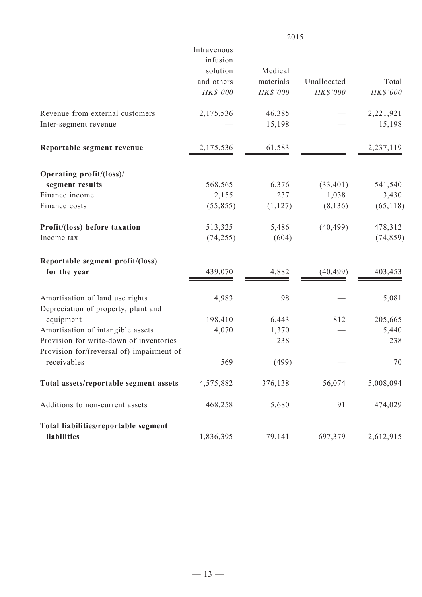|                                                | 2015             |                |             |                  |
|------------------------------------------------|------------------|----------------|-------------|------------------|
|                                                | Intravenous      |                |             |                  |
|                                                | infusion         |                |             |                  |
|                                                | solution         | Medical        |             |                  |
|                                                | and others       | materials      | Unallocated | Total            |
|                                                | HK\$'000         | HK\$'000       | HK\$'000    | HK\$'000         |
| Revenue from external customers                | 2,175,536        | 46,385         |             | 2,221,921        |
| Inter-segment revenue                          |                  | 15,198         |             | 15,198           |
| Reportable segment revenue                     | 2,175,536        | 61,583         |             | 2,237,119        |
| Operating profit/(loss)/                       |                  |                |             |                  |
| segment results                                | 568,565          | 6,376          | (33, 401)   | 541,540          |
| Finance income                                 | 2,155            | 237            | 1,038       | 3,430            |
| Finance costs                                  | (55, 855)        | (1, 127)       | (8, 136)    | (65, 118)        |
| Profit/(loss) before taxation                  | 513,325          | 5,486          | (40, 499)   | 478,312          |
| Income tax                                     | (74, 255)        | (604)          |             | (74, 859)        |
| Reportable segment profit/(loss)               |                  |                |             |                  |
| for the year                                   | 439,070          | 4,882          | (40, 499)   | 403,453          |
| Amortisation of land use rights                | 4,983            | 98             |             | 5,081            |
| Depreciation of property, plant and            |                  |                | 812         |                  |
| equipment<br>Amortisation of intangible assets | 198,410<br>4,070 | 6,443<br>1,370 |             | 205,665<br>5,440 |
| Provision for write-down of inventories        |                  | 238            |             | 238              |
| Provision for/(reversal of) impairment of      |                  |                |             |                  |
| receivables                                    | 569              | (499)          |             | 70               |
| Total assets/reportable segment assets         | 4,575,882        | 376,138        | 56,074      | 5,008,094        |
| Additions to non-current assets                | 468,258          | 5,680          | 91          | 474,029          |
| Total liabilities/reportable segment           |                  |                |             |                  |
| liabilities                                    | 1,836,395        | 79,141         | 697,379     | 2,612,915        |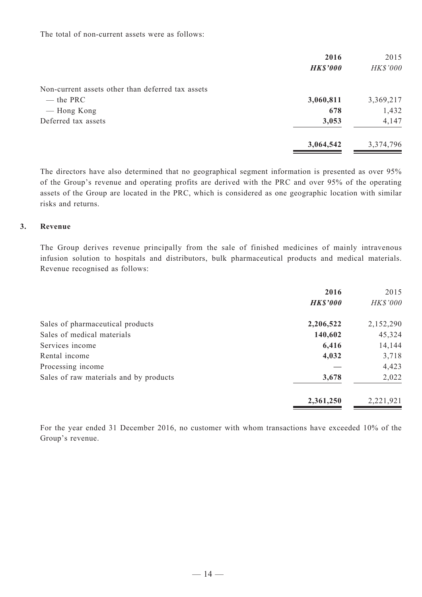The total of non-current assets were as follows:

|                                                   | 2016<br><b>HK\$'000</b> | 2015<br>HK\$'000 |
|---------------------------------------------------|-------------------------|------------------|
| Non-current assets other than deferred tax assets |                         |                  |
| $-$ the PRC                                       | 3,060,811               | 3,369,217        |
| — Hong Kong                                       | 678                     | 1,432            |
| Deferred tax assets                               | 3,053                   | 4,147            |
|                                                   | 3,064,542               | 3,374,796        |

The directors have also determined that no geographical segment information is presented as over 95% of the Group's revenue and operating profits are derived with the PRC and over 95% of the operating assets of the Group are located in the PRC, which is considered as one geographic location with similar risks and returns.

#### **3. Revenue**

The Group derives revenue principally from the sale of finished medicines of mainly intravenous infusion solution to hospitals and distributors, bulk pharmaceutical products and medical materials. Revenue recognised as follows:

|                                        | 2016<br><b>HK\$'000</b> | 2015<br>HK\$'000 |
|----------------------------------------|-------------------------|------------------|
| Sales of pharmaceutical products       | 2,206,522               | 2,152,290        |
| Sales of medical materials             | 140,602                 | 45,324           |
| Services income                        | 6,416                   | 14,144           |
| Rental income                          | 4,032                   | 3,718            |
| Processing income                      |                         | 4,423            |
| Sales of raw materials and by products | 3,678                   | 2,022            |
|                                        | 2,361,250               | 2,221,921        |

For the year ended 31 December 2016, no customer with whom transactions have exceeded 10% of the Group's revenue.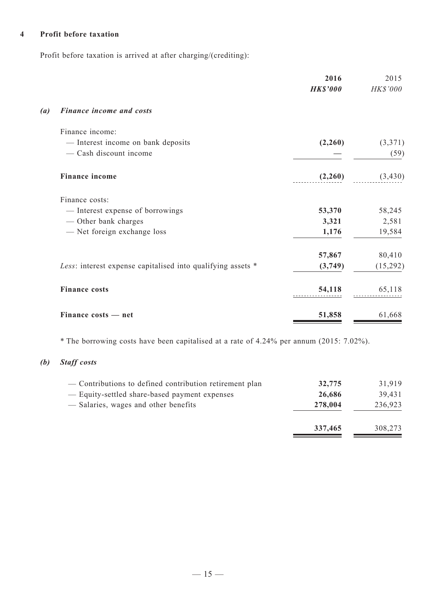# **4 Profit before taxation**

Profit before taxation is arrived at after charging/(crediting):

|                   |                                                             | 2016<br><b>HK\$'000</b> | 2015<br>HK\$'000 |
|-------------------|-------------------------------------------------------------|-------------------------|------------------|
| $\left( a\right)$ | Finance income and costs                                    |                         |                  |
|                   | Finance income:                                             |                         |                  |
|                   | - Interest income on bank deposits                          | (2,260)                 | (3,371)          |
|                   | - Cash discount income                                      |                         | (59)             |
|                   | <b>Finance income</b>                                       | (2,260)                 | (3, 430)         |
|                   | Finance costs:                                              |                         |                  |
|                   | — Interest expense of borrowings                            | 53,370                  | 58,245           |
|                   | — Other bank charges                                        | 3,321                   | 2,581            |
|                   | - Net foreign exchange loss                                 | 1,176                   | 19,584           |
|                   |                                                             | 57,867                  | 80,410           |
|                   | Less: interest expense capitalised into qualifying assets * | (3,749)                 | (15,292)         |
|                   | <b>Finance costs</b>                                        | 54,118                  | 65,118           |
|                   | Finance costs - net                                         | 51,858                  | 61,668           |

\* The borrowing costs have been capitalised at a rate of 4.24% per annum (2015: 7.02%).

# *(b) Staff costs*

| — Contributions to defined contribution retirement plan | 32,775  | 31,919  |
|---------------------------------------------------------|---------|---------|
| - Equity-settled share-based payment expenses           | 26,686  | 39,431  |
| — Salaries, wages and other benefits                    | 278,004 | 236,923 |
|                                                         | 337,465 | 308,273 |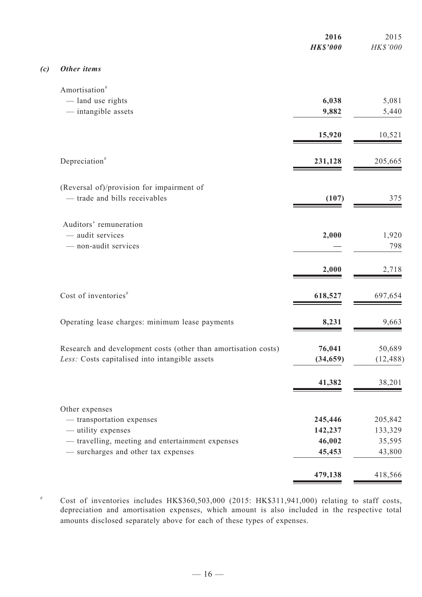|     |                                                                | 2016<br><b>HK\$'000</b> | 2015<br>HK\$'000 |
|-----|----------------------------------------------------------------|-------------------------|------------------|
| (c) | Other items                                                    |                         |                  |
|     | Amortisation <sup>#</sup>                                      |                         |                  |
|     | - land use rights                                              | 6,038                   | 5,081            |
|     | - intangible assets                                            | 9,882                   | 5,440            |
|     |                                                                | 15,920                  | 10,521           |
|     | Depreciation <sup>#</sup>                                      | 231,128                 | 205,665          |
|     | (Reversal of)/provision for impairment of                      |                         |                  |
|     | - trade and bills receivables                                  | (107)                   | 375              |
|     | Auditors' remuneration                                         |                         |                  |
|     | - audit services                                               | 2,000                   | 1,920            |
|     | - non-audit services                                           |                         | 798              |
|     |                                                                | 2,000                   | 2,718            |
|     | Cost of inventories <sup>#</sup>                               | 618,527                 | 697,654          |
|     | Operating lease charges: minimum lease payments                | 8,231                   | 9,663            |
|     | Research and development costs (other than amortisation costs) | 76,041                  | 50,689           |
|     | Less: Costs capitalised into intangible assets                 | (34, 659)               | (12, 488)        |
|     |                                                                | 41,382                  | 38,201           |
|     | Other expenses                                                 |                         |                  |
|     | - transportation expenses                                      | 245,446                 | 205,842          |
|     | - utility expenses                                             | 142,237                 | 133,329          |
|     | - travelling, meeting and entertainment expenses               | 46,002                  | 35,595           |
|     | - surcharges and other tax expenses                            | 45,453                  | 43,800           |
|     |                                                                | 479,138                 | 418,566          |

# Cost of inventories includes HK\$360,503,000 (2015: HK\$311,941,000) relating to staff costs, depreciation and amortisation expenses, which amount is also included in the respective total amounts disclosed separately above for each of these types of expenses.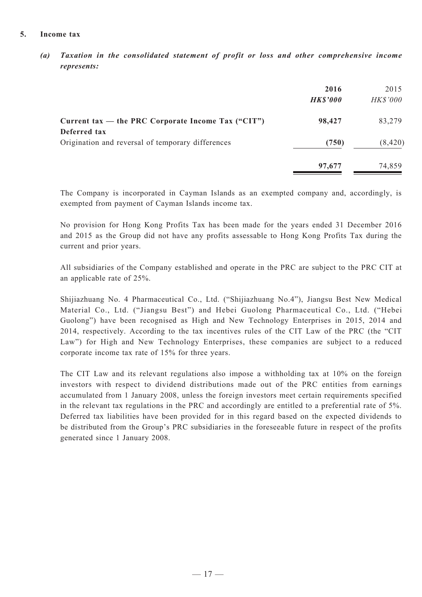#### **5. Income tax**

*(a) Taxation in the consolidated statement of profit or loss and other comprehensive income represents:*

|                                                                   | 2016<br><b>HK\$'000</b> | 2015<br>HK\$'000 |
|-------------------------------------------------------------------|-------------------------|------------------|
| Current tax — the PRC Corporate Income Tax ("CIT")                | 98,427                  | 83,279           |
| Deferred tax<br>Origination and reversal of temporary differences | (750)                   | (8, 420)         |
|                                                                   | 97,677                  | 74,859           |

The Company is incorporated in Cayman Islands as an exempted company and, accordingly, is exempted from payment of Cayman Islands income tax.

No provision for Hong Kong Profits Tax has been made for the years ended 31 December 2016 and 2015 as the Group did not have any profits assessable to Hong Kong Profits Tax during the current and prior years.

All subsidiaries of the Company established and operate in the PRC are subject to the PRC CIT at an applicable rate of 25%.

Shijiazhuang No. 4 Pharmaceutical Co., Ltd. ("Shijiazhuang No.4"), Jiangsu Best New Medical Material Co., Ltd. ("Jiangsu Best") and Hebei Guolong Pharmaceutical Co., Ltd. ("Hebei Guolong") have been recognised as High and New Technology Enterprises in 2015, 2014 and 2014, respectively. According to the tax incentives rules of the CIT Law of the PRC (the "CIT Law") for High and New Technology Enterprises, these companies are subject to a reduced corporate income tax rate of 15% for three years.

The CIT Law and its relevant regulations also impose a withholding tax at 10% on the foreign investors with respect to dividend distributions made out of the PRC entities from earnings accumulated from 1 January 2008, unless the foreign investors meet certain requirements specified in the relevant tax regulations in the PRC and accordingly are entitled to a preferential rate of 5%. Deferred tax liabilities have been provided for in this regard based on the expected dividends to be distributed from the Group's PRC subsidiaries in the foreseeable future in respect of the profits generated since 1 January 2008.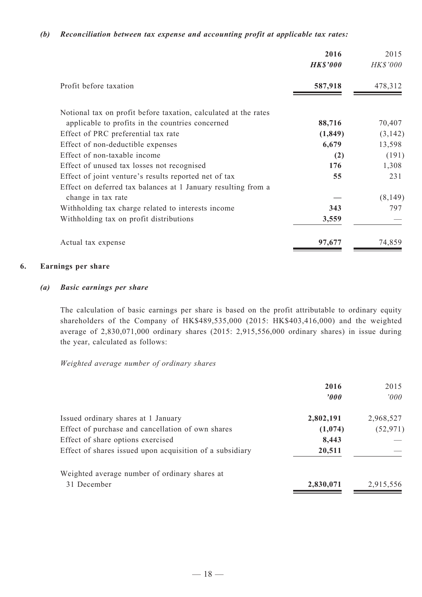#### *(b) Reconciliation between tax expense and accounting profit at applicable tax rates:*

|                                                                 | 2016<br><b>HK\$'000</b> | 2015<br>HK\$'000 |
|-----------------------------------------------------------------|-------------------------|------------------|
| Profit before taxation                                          | 587,918                 | 478,312          |
| Notional tax on profit before taxation, calculated at the rates |                         |                  |
| applicable to profits in the countries concerned                | 88,716                  | 70,407           |
| Effect of PRC preferential tax rate                             | (1, 849)                | (3, 142)         |
| Effect of non-deductible expenses                               | 6,679                   | 13,598           |
| Effect of non-taxable income                                    | (2)                     | (191)            |
| Effect of unused tax losses not recognised                      | 176                     | 1,308            |
| Effect of joint venture's results reported net of tax           | 55                      | 231              |
| Effect on deferred tax balances at 1 January resulting from a   |                         |                  |
| change in tax rate                                              |                         | (8,149)          |
| Withholding tax charge related to interests income              | 343                     | 797              |
| Withholding tax on profit distributions                         | 3,559                   |                  |
| Actual tax expense                                              | 97,677                  | 74,859           |

#### **6. Earnings per share**

#### *(a) Basic earnings per share*

The calculation of basic earnings per share is based on the profit attributable to ordinary equity shareholders of the Company of HK\$489,535,000 (2015: HK\$403,416,000) and the weighted average of 2,830,071,000 ordinary shares (2015: 2,915,556,000 ordinary shares) in issue during the year, calculated as follows:

#### *Weighted average number of ordinary shares*

|                                                          | 2016<br>$\boldsymbol{v}$ | 2015<br>000' |
|----------------------------------------------------------|--------------------------|--------------|
| Issued ordinary shares at 1 January                      | 2,802,191                | 2,968,527    |
| Effect of purchase and cancellation of own shares        | (1,074)                  | (52, 971)    |
| Effect of share options exercised                        | 8,443                    |              |
| Effect of shares issued upon acquisition of a subsidiary | 20,511                   |              |
| Weighted average number of ordinary shares at            |                          |              |
| 31 December                                              | 2,830,071                | 2,915,556    |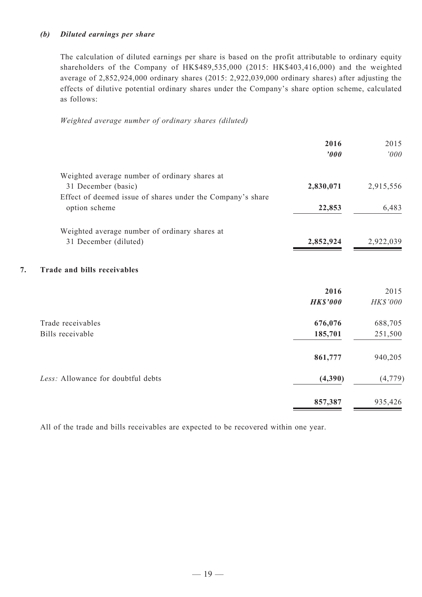#### *(b) Diluted earnings per share*

The calculation of diluted earnings per share is based on the profit attributable to ordinary equity shareholders of the Company of HK\$489,535,000 (2015: HK\$403,416,000) and the weighted average of 2,852,924,000 ordinary shares (2015: 2,922,039,000 ordinary shares) after adjusting the effects of dilutive potential ordinary shares under the Company's share option scheme, calculated as follows:

*Weighted average number of ordinary shares (diluted)*

|                                                            | 2016<br>'000    | 2015<br>'000 |
|------------------------------------------------------------|-----------------|--------------|
| Weighted average number of ordinary shares at              |                 |              |
| 31 December (basic)                                        | 2,830,071       | 2,915,556    |
| Effect of deemed issue of shares under the Company's share |                 |              |
| option scheme                                              | 22,853          | 6,483        |
| Weighted average number of ordinary shares at              |                 |              |
| 31 December (diluted)                                      | 2,852,924       | 2,922,039    |
| 7.<br><b>Trade and bills receivables</b>                   |                 |              |
|                                                            | 2016            | 2015         |
|                                                            | <b>HK\$'000</b> | HK\$'000     |
| Trade receivables                                          | 676,076         | 688,705      |
| Bills receivable                                           | 185,701         | 251,500      |
|                                                            | 861,777         | 940,205      |
| Less: Allowance for doubtful debts                         | (4,390)         | (4, 779)     |
|                                                            | 857,387         | 935,426      |

All of the trade and bills receivables are expected to be recovered within one year.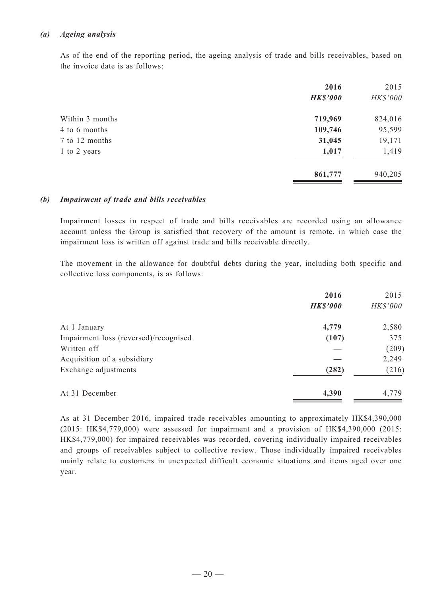#### *(a) Ageing analysis*

As of the end of the reporting period, the ageing analysis of trade and bills receivables, based on the invoice date is as follows:

|                 | 2016            | 2015     |
|-----------------|-----------------|----------|
|                 | <b>HK\$'000</b> | HK\$'000 |
| Within 3 months | 719,969         | 824,016  |
| 4 to 6 months   | 109,746         | 95,599   |
| 7 to 12 months  | 31,045          | 19,171   |
| 1 to 2 years    | 1,017           | 1,419    |
|                 | 861,777         | 940,205  |

#### *(b) Impairment of trade and bills receivables*

Impairment losses in respect of trade and bills receivables are recorded using an allowance account unless the Group is satisfied that recovery of the amount is remote, in which case the impairment loss is written off against trade and bills receivable directly.

The movement in the allowance for doubtful debts during the year, including both specific and collective loss components, is as follows:

|                                       | 2016            | 2015     |
|---------------------------------------|-----------------|----------|
|                                       | <b>HK\$'000</b> | HK\$'000 |
| At 1 January                          | 4,779           | 2,580    |
| Impairment loss (reversed)/recognised | (107)           | 375      |
| Written off                           |                 | (209)    |
| Acquisition of a subsidiary           |                 | 2,249    |
| Exchange adjustments                  | (282)           | (216)    |
| At 31 December                        | 4,390           | 4,779    |

As at 31 December 2016, impaired trade receivables amounting to approximately HK\$4,390,000 (2015: HK\$4,779,000) were assessed for impairment and a provision of HK\$4,390,000 (2015: HK\$4,779,000) for impaired receivables was recorded, covering individually impaired receivables and groups of receivables subject to collective review. Those individually impaired receivables mainly relate to customers in unexpected difficult economic situations and items aged over one year.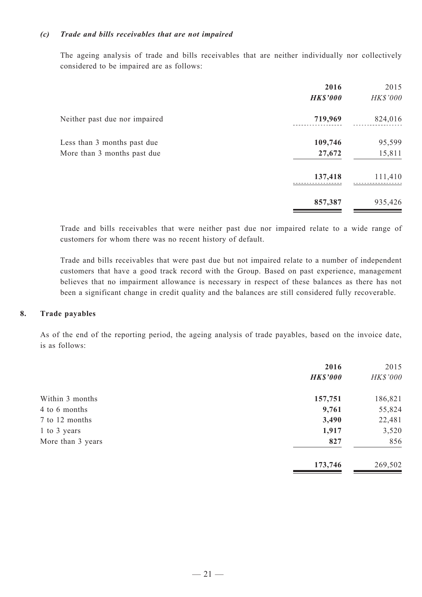#### *(c) Trade and bills receivables that are not impaired*

The ageing analysis of trade and bills receivables that are neither individually nor collectively considered to be impaired are as follows:

|                                                            | 2016<br><b>HK\$'000</b> | 2015<br>HK\$'000 |
|------------------------------------------------------------|-------------------------|------------------|
| Neither past due nor impaired                              | 719,969                 | 824,016          |
| Less than 3 months past due<br>More than 3 months past due | 109,746<br>27,672       | 95,599<br>15,811 |
|                                                            | 137,418                 | 111,410          |
|                                                            | 857,387                 | 935,426          |

Trade and bills receivables that were neither past due nor impaired relate to a wide range of customers for whom there was no recent history of default.

Trade and bills receivables that were past due but not impaired relate to a number of independent customers that have a good track record with the Group. Based on past experience, management believes that no impairment allowance is necessary in respect of these balances as there has not been a significant change in credit quality and the balances are still considered fully recoverable.

#### **8. Trade payables**

As of the end of the reporting period, the ageing analysis of trade payables, based on the invoice date, is as follows:

|                   | 2016<br><b>HK\$'000</b> | 2015<br>HK\$'000 |
|-------------------|-------------------------|------------------|
| Within 3 months   | 157,751                 | 186,821          |
| 4 to 6 months     | 9,761                   | 55,824           |
| 7 to 12 months    | 3,490                   | 22,481           |
| 1 to 3 years      | 1,917                   | 3,520            |
| More than 3 years | 827                     | 856              |
|                   | 173,746                 | 269,502          |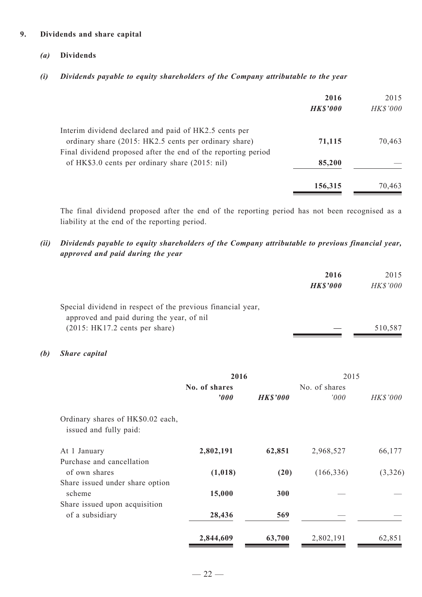#### **9. Dividends and share capital**

#### *(a)* **Dividends**

*(i) Dividends payable to equity shareholders of the Company attributable to the year*

|                                                               | 2016<br><b>HK\$'000</b> | 2015<br><b>HK\$'000</b> |
|---------------------------------------------------------------|-------------------------|-------------------------|
| Interim dividend declared and paid of HK2.5 cents per         |                         |                         |
| ordinary share (2015: HK2.5 cents per ordinary share)         | 71,115                  | 70,463                  |
| Final dividend proposed after the end of the reporting period |                         |                         |
| of HK\$3.0 cents per ordinary share (2015: nil)               | 85,200                  |                         |
|                                                               | 156,315                 | 70,463                  |

The final dividend proposed after the end of the reporting period has not been recognised as a liability at the end of the reporting period.

#### *(ii) Dividends payable to equity shareholders of the Company attributable to previous financial year, approved and paid during the year*

| 2016            | 2015     |
|-----------------|----------|
| <b>HK\$'000</b> | HK\$'000 |
|                 |          |
|                 |          |
|                 | 510,587  |
|                 |          |

#### *(b) Share capital*

|                                                             | 2016                  |                 | 2015          |          |
|-------------------------------------------------------------|-----------------------|-----------------|---------------|----------|
|                                                             | No. of shares         |                 | No. of shares |          |
|                                                             | $\boldsymbol{\theta}$ | <b>HK\$'000</b> | '000          | HK\$'000 |
| Ordinary shares of HK\$0.02 each,<br>issued and fully paid: |                       |                 |               |          |
| At 1 January                                                | 2,802,191             | 62,851          | 2,968,527     | 66,177   |
| Purchase and cancellation                                   |                       |                 |               |          |
| of own shares                                               | (1,018)               | (20)            | (166, 336)    | (3,326)  |
| Share issued under share option<br>scheme                   | 15,000                | 300             |               |          |
| Share issued upon acquisition                               |                       |                 |               |          |
| of a subsidiary                                             | 28,436                | 569             |               |          |
|                                                             | 2,844,609             | 63,700          | 2,802,191     | 62,851   |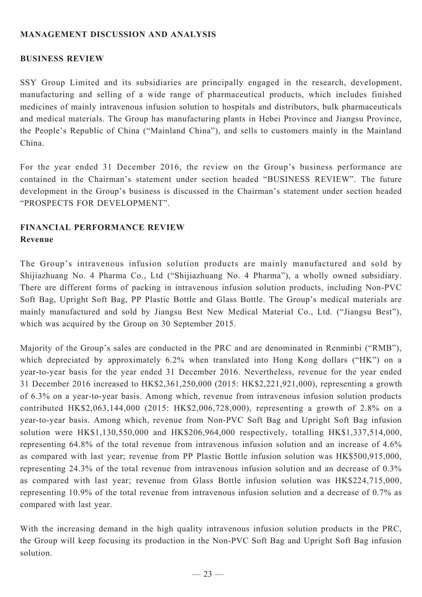# **MANAGEMENT DISCUSSION AND ANALYSIS**

## **BUSINESS REVIEW**

SSY Group Limited and its subsidiaries are principally engaged in the research, development, manufacturing and selling of a wide range of pharmaceutical products, which includes finished medicines of mainly intravenous infusion solution to hospitals and distributors, bulk pharmaceuticals and medical materials. The Group has manufacturing plants in Hebei Province and Jiangsu Province, the People's Republic of China ("Mainland China"), and sells to customers mainly in the Mainland China.

For the year ended 31 December 2016, the review on the Group's business performance are contained in the Chairman's statement under section headed "BUSINESS REVIEW". The future development in the Group's business is discussed in the Chairman's statement under section headed "PROSPECTS FOR DEVELOPMENT".

# **Financial performance review Revenue**

The Group's intravenous infusion solution products are mainly manufactured and sold by Shijiazhuang No. 4 Pharma Co., Ltd ("Shijiazhuang No. 4 Pharma"), a wholly owned subsidiary. There are different forms of packing in intravenous infusion solution products, including Non-PVC Soft Bag, Upright Soft Bag, PP Plastic Bottle and Glass Bottle. The Group's medical materials are mainly manufactured and sold by Jiangsu Best New Medical Material Co., Ltd. ("Jiangsu Best"), which was acquired by the Group on 30 September 2015.

Majority of the Group's sales are conducted in the PRC and are denominated in Renminbi ("RMB"), which depreciated by approximately 6.2% when translated into Hong Kong dollars ("HK") on a year-to-year basis for the year ended 31 December 2016. Nevertheless, revenue for the year ended 31 December 2016 increased to HK\$2,361,250,000 (2015: HK\$2,221,921,000), representing a growth of 6.3% on a year-to-year basis. Among which, revenue from intravenous infusion solution products contributed HK\$2,063,144,000 (2015: HK\$2,006,728,000), representing a growth of 2.8% on a year-to-year basis. Among which, revenue from Non-PVC Soft Bag and Upright Soft Bag infusion solution were HK\$1,130,550,000 and HK\$206,964,000 respectively, totalling HK\$1,337,514,000, representing 64.8% of the total revenue from intravenous infusion solution and an increase of 4.6% as compared with last year; revenue from PP Plastic Bottle infusion solution was HK\$500,915,000, representing 24.3% of the total revenue from intravenous infusion solution and an decrease of 0.3% as compared with last year; revenue from Glass Bottle infusion solution was HK\$224,715,000, representing 10.9% of the total revenue from intravenous infusion solution and a decrease of 0.7% as compared with last year.

With the increasing demand in the high quality intravenous infusion solution products in the PRC, the Group will keep focusing its production in the Non-PVC Soft Bag and Upright Soft Bag infusion solution.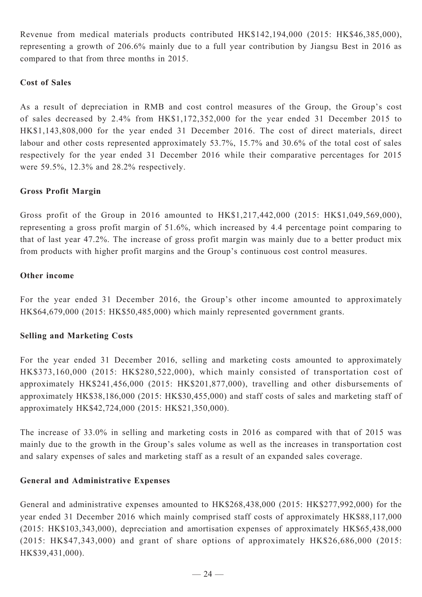Revenue from medical materials products contributed HK\$142,194,000 (2015: HK\$46,385,000), representing a growth of 206.6% mainly due to a full year contribution by Jiangsu Best in 2016 as compared to that from three months in 2015.

## **Cost of Sales**

As a result of depreciation in RMB and cost control measures of the Group, the Group's cost of sales decreased by 2.4% from HK\$1,172,352,000 for the year ended 31 December 2015 to HK\$1,143,808,000 for the year ended 31 December 2016. The cost of direct materials, direct labour and other costs represented approximately 53.7%, 15.7% and 30.6% of the total cost of sales respectively for the year ended 31 December 2016 while their comparative percentages for 2015 were 59.5%, 12.3% and 28.2% respectively.

## **Gross Profit Margin**

Gross profit of the Group in 2016 amounted to HK\$1,217,442,000 (2015: HK\$1,049,569,000), representing a gross profit margin of 51.6%, which increased by 4.4 percentage point comparing to that of last year 47.2%. The increase of gross profit margin was mainly due to a better product mix from products with higher profit margins and the Group's continuous cost control measures.

#### **Other income**

For the year ended 31 December 2016, the Group's other income amounted to approximately HK\$64,679,000 (2015: HK\$50,485,000) which mainly represented government grants.

## **Selling and Marketing Costs**

For the year ended 31 December 2016, selling and marketing costs amounted to approximately HK\$373,160,000 (2015: HK\$280,522,000), which mainly consisted of transportation cost of approximately HK\$241,456,000 (2015: HK\$201,877,000), travelling and other disbursements of approximately HK\$38,186,000 (2015: HK\$30,455,000) and staff costs of sales and marketing staff of approximately HK\$42,724,000 (2015: HK\$21,350,000).

The increase of 33.0% in selling and marketing costs in 2016 as compared with that of 2015 was mainly due to the growth in the Group's sales volume as well as the increases in transportation cost and salary expenses of sales and marketing staff as a result of an expanded sales coverage.

## **General and Administrative Expenses**

General and administrative expenses amounted to HK\$268,438,000 (2015: HK\$277,992,000) for the year ended 31 December 2016 which mainly comprised staff costs of approximately HK\$88,117,000 (2015: HK\$103,343,000), depreciation and amortisation expenses of approximately HK\$65,438,000 (2015: HK\$47,343,000) and grant of share options of approximately HK\$26,686,000 (2015: HK\$39,431,000).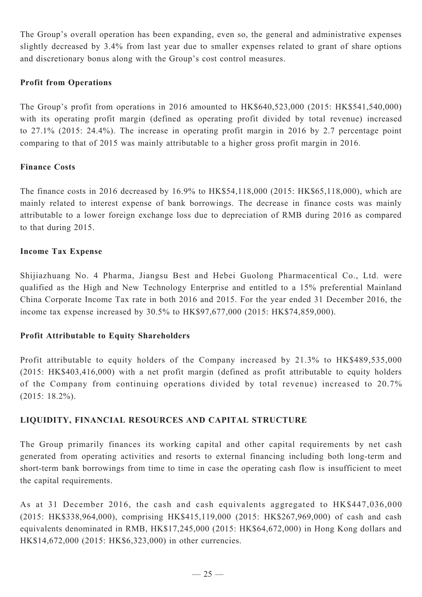The Group's overall operation has been expanding, even so, the general and administrative expenses slightly decreased by 3.4% from last year due to smaller expenses related to grant of share options and discretionary bonus along with the Group's cost control measures.

## **Profit from Operations**

The Group's profit from operations in 2016 amounted to HK\$640,523,000 (2015: HK\$541,540,000) with its operating profit margin (defined as operating profit divided by total revenue) increased to 27.1% (2015: 24.4%). The increase in operating profit margin in 2016 by 2.7 percentage point comparing to that of 2015 was mainly attributable to a higher gross profit margin in 2016.

## **Finance Costs**

The finance costs in 2016 decreased by 16.9% to HK\$54,118,000 (2015: HK\$65,118,000), which are mainly related to interest expense of bank borrowings. The decrease in finance costs was mainly attributable to a lower foreign exchange loss due to depreciation of RMB during 2016 as compared to that during 2015.

## **Income Tax Expense**

Shijiazhuang No. 4 Pharma, Jiangsu Best and Hebei Guolong Pharmacentical Co., Ltd. were qualified as the High and New Technology Enterprise and entitled to a 15% preferential Mainland China Corporate Income Tax rate in both 2016 and 2015. For the year ended 31 December 2016, the income tax expense increased by 30.5% to HK\$97,677,000 (2015: HK\$74,859,000).

# **Profit Attributable to Equity Shareholders**

Profit attributable to equity holders of the Company increased by 21.3% to HK\$489,535,000 (2015: HK\$403,416,000) with a net profit margin (defined as profit attributable to equity holders of the Company from continuing operations divided by total revenue) increased to 20.7% (2015: 18.2%).

# **LIQUIDITY, FINANCIAL RESOURCES and capital structure**

The Group primarily finances its working capital and other capital requirements by net cash generated from operating activities and resorts to external financing including both long-term and short-term bank borrowings from time to time in case the operating cash flow is insufficient to meet the capital requirements.

As at 31 December 2016, the cash and cash equivalents aggregated to HK\$447,036,000 (2015: HK\$338,964,000), comprising HK\$415,119,000 (2015: HK\$267,969,000) of cash and cash equivalents denominated in RMB, HK\$17,245,000 (2015: HK\$64,672,000) in Hong Kong dollars and HK\$14,672,000 (2015: HK\$6,323,000) in other currencies.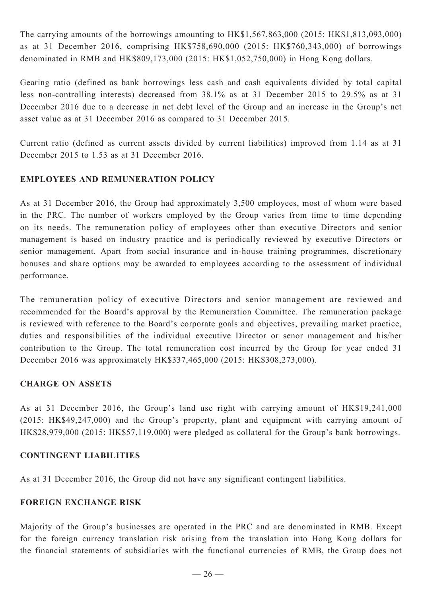The carrying amounts of the borrowings amounting to HK\$1,567,863,000 (2015: HK\$1,813,093,000) as at 31 December 2016, comprising HK\$758,690,000 (2015: HK\$760,343,000) of borrowings denominated in RMB and HK\$809,173,000 (2015: HK\$1,052,750,000) in Hong Kong dollars.

Gearing ratio (defined as bank borrowings less cash and cash equivalents divided by total capital less non-controlling interests) decreased from 38.1% as at 31 December 2015 to 29.5% as at 31 December 2016 due to a decrease in net debt level of the Group and an increase in the Group's net asset value as at 31 December 2016 as compared to 31 December 2015.

Current ratio (defined as current assets divided by current liabilities) improved from 1.14 as at 31 December 2015 to 1.53 as at 31 December 2016.

# **EMPLOYEES AND REMUNERATION POLICY**

As at 31 December 2016, the Group had approximately 3,500 employees, most of whom were based in the PRC. The number of workers employed by the Group varies from time to time depending on its needs. The remuneration policy of employees other than executive Directors and senior management is based on industry practice and is periodically reviewed by executive Directors or senior management. Apart from social insurance and in-house training programmes, discretionary bonuses and share options may be awarded to employees according to the assessment of individual performance.

The remuneration policy of executive Directors and senior management are reviewed and recommended for the Board's approval by the Remuneration Committee. The remuneration package is reviewed with reference to the Board's corporate goals and objectives, prevailing market practice, duties and responsibilities of the individual executive Director or senor management and his/her contribution to the Group. The total remuneration cost incurred by the Group for year ended 31 December 2016 was approximately HK\$337,465,000 (2015: HK\$308,273,000).

## **Charge on ASSETS**

As at 31 December 2016, the Group's land use right with carrying amount of HK\$19,241,000 (2015: HK\$49,247,000) and the Group's property, plant and equipment with carrying amount of HK\$28,979,000 (2015: HK\$57,119,000) were pledged as collateral for the Group's bank borrowings.

## **CONTINGENT LIABILITIES**

As at 31 December 2016, the Group did not have any significant contingent liabilities.

# **FOREIGN EXCHANGE RISK**

Majority of the Group's businesses are operated in the PRC and are denominated in RMB. Except for the foreign currency translation risk arising from the translation into Hong Kong dollars for the financial statements of subsidiaries with the functional currencies of RMB, the Group does not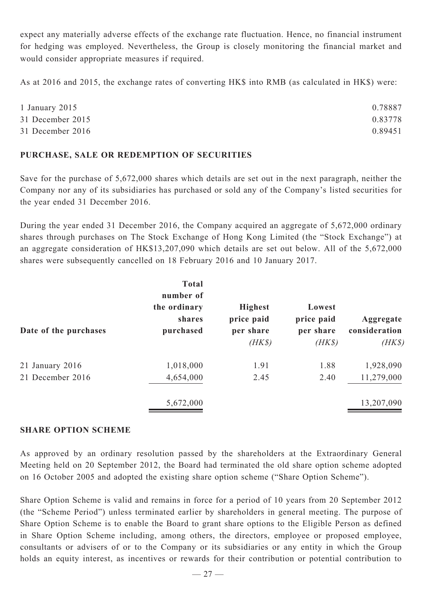expect any materially adverse effects of the exchange rate fluctuation. Hence, no financial instrument for hedging was employed. Nevertheless, the Group is closely monitoring the financial market and would consider appropriate measures if required.

As at 2016 and 2015, the exchange rates of converting HK\$ into RMB (as calculated in HK\$) were:

| 1 January 2015   | 0.78887 |
|------------------|---------|
| 31 December 2015 | 0.83778 |
| 31 December 2016 | 0.89451 |

## **PURCHASE, SALE OR REDEMPTION OF SECURITIES**

Save for the purchase of 5,672,000 shares which details are set out in the next paragraph, neither the Company nor any of its subsidiaries has purchased or sold any of the Company's listed securities for the year ended 31 December 2016.

During the year ended 31 December 2016, the Company acquired an aggregate of 5,672,000 ordinary shares through purchases on The Stock Exchange of Hong Kong Limited (the "Stock Exchange") at an aggregate consideration of HK\$13,207,090 which details are set out below. All of the 5,672,000 shares were subsequently cancelled on 18 February 2016 and 10 January 2017.

|                       | <b>Total</b><br>number of<br>the ordinary<br>shares | <b>Highest</b><br>price paid | Lowest<br>price paid | Aggregate               |  |
|-----------------------|-----------------------------------------------------|------------------------------|----------------------|-------------------------|--|
| Date of the purchases | purchased                                           | per share<br>$(HK\$          | per share<br>$(HK\$  | consideration<br>$(HK\$ |  |
| $21$ January $2016$   | 1,018,000                                           | 1.91                         | 1.88                 | 1,928,090               |  |
| 21 December 2016      | 4,654,000                                           | 2.45                         | 2.40                 | 11,279,000              |  |
|                       | 5,672,000                                           |                              |                      | 13,207,090              |  |

## **SHARE OPTION SCHEME**

As approved by an ordinary resolution passed by the shareholders at the Extraordinary General Meeting held on 20 September 2012, the Board had terminated the old share option scheme adopted on 16 October 2005 and adopted the existing share option scheme ("Share Option Scheme").

Share Option Scheme is valid and remains in force for a period of 10 years from 20 September 2012 (the "Scheme Period") unless terminated earlier by shareholders in general meeting. The purpose of Share Option Scheme is to enable the Board to grant share options to the Eligible Person as defined in Share Option Scheme including, among others, the directors, employee or proposed employee, consultants or advisers of or to the Company or its subsidiaries or any entity in which the Group holds an equity interest, as incentives or rewards for their contribution or potential contribution to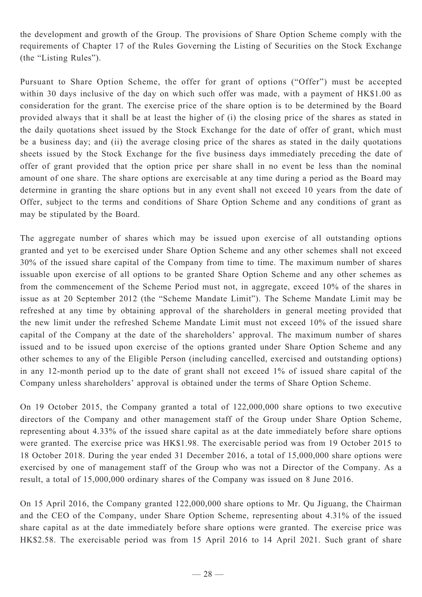the development and growth of the Group. The provisions of Share Option Scheme comply with the requirements of Chapter 17 of the Rules Governing the Listing of Securities on the Stock Exchange (the "Listing Rules").

Pursuant to Share Option Scheme, the offer for grant of options ("Offer") must be accepted within 30 days inclusive of the day on which such offer was made, with a payment of HK\$1.00 as consideration for the grant. The exercise price of the share option is to be determined by the Board provided always that it shall be at least the higher of (i) the closing price of the shares as stated in the daily quotations sheet issued by the Stock Exchange for the date of offer of grant, which must be a business day; and (ii) the average closing price of the shares as stated in the daily quotations sheets issued by the Stock Exchange for the five business days immediately preceding the date of offer of grant provided that the option price per share shall in no event be less than the nominal amount of one share. The share options are exercisable at any time during a period as the Board may determine in granting the share options but in any event shall not exceed 10 years from the date of Offer, subject to the terms and conditions of Share Option Scheme and any conditions of grant as may be stipulated by the Board.

The aggregate number of shares which may be issued upon exercise of all outstanding options granted and yet to be exercised under Share Option Scheme and any other schemes shall not exceed 30% of the issued share capital of the Company from time to time. The maximum number of shares issuable upon exercise of all options to be granted Share Option Scheme and any other schemes as from the commencement of the Scheme Period must not, in aggregate, exceed 10% of the shares in issue as at 20 September 2012 (the "Scheme Mandate Limit"). The Scheme Mandate Limit may be refreshed at any time by obtaining approval of the shareholders in general meeting provided that the new limit under the refreshed Scheme Mandate Limit must not exceed 10% of the issued share capital of the Company at the date of the shareholders' approval. The maximum number of shares issued and to be issued upon exercise of the options granted under Share Option Scheme and any other schemes to any of the Eligible Person (including cancelled, exercised and outstanding options) in any 12-month period up to the date of grant shall not exceed 1% of issued share capital of the Company unless shareholders' approval is obtained under the terms of Share Option Scheme.

On 19 October 2015, the Company granted a total of 122,000,000 share options to two executive directors of the Company and other management staff of the Group under Share Option Scheme, representing about 4.33% of the issued share capital as at the date immediately before share options were granted. The exercise price was HK\$1.98. The exercisable period was from 19 October 2015 to 18 October 2018. During the year ended 31 December 2016, a total of 15,000,000 share options were exercised by one of management staff of the Group who was not a Director of the Company. As a result, a total of 15,000,000 ordinary shares of the Company was issued on 8 June 2016.

On 15 April 2016, the Company granted 122,000,000 share options to Mr. Qu Jiguang, the Chairman and the CEO of the Company, under Share Option Scheme, representing about 4.31% of the issued share capital as at the date immediately before share options were granted. The exercise price was HK\$2.58. The exercisable period was from 15 April 2016 to 14 April 2021. Such grant of share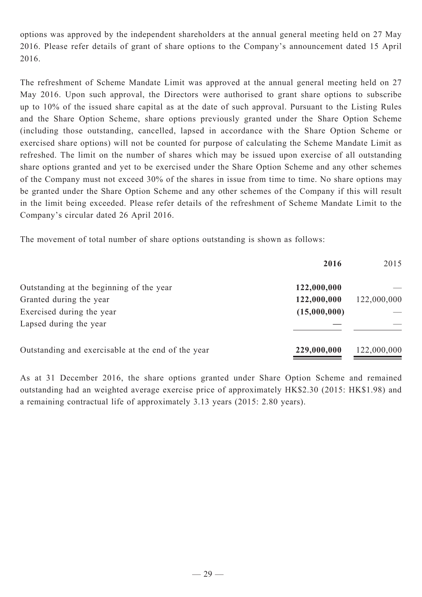options was approved by the independent shareholders at the annual general meeting held on 27 May 2016. Please refer details of grant of share options to the Company's announcement dated 15 April 2016.

The refreshment of Scheme Mandate Limit was approved at the annual general meeting held on 27 May 2016. Upon such approval, the Directors were authorised to grant share options to subscribe up to 10% of the issued share capital as at the date of such approval. Pursuant to the Listing Rules and the Share Option Scheme, share options previously granted under the Share Option Scheme (including those outstanding, cancelled, lapsed in accordance with the Share Option Scheme or exercised share options) will not be counted for purpose of calculating the Scheme Mandate Limit as refreshed. The limit on the number of shares which may be issued upon exercise of all outstanding share options granted and yet to be exercised under the Share Option Scheme and any other schemes of the Company must not exceed 30% of the shares in issue from time to time. No share options may be granted under the Share Option Scheme and any other schemes of the Company if this will result in the limit being exceeded. Please refer details of the refreshment of Scheme Mandate Limit to the Company's circular dated 26 April 2016.

The movement of total number of share options outstanding is shown as follows:

|                                                    | 2016         | 2015        |
|----------------------------------------------------|--------------|-------------|
| Outstanding at the beginning of the year           | 122,000,000  |             |
| Granted during the year                            | 122,000,000  | 122,000,000 |
| Exercised during the year                          | (15,000,000) |             |
| Lapsed during the year                             |              |             |
| Outstanding and exercisable at the end of the year | 229,000,000  | 122,000,000 |

As at 31 December 2016, the share options granted under Share Option Scheme and remained outstanding had an weighted average exercise price of approximately HK\$2.30 (2015: HK\$1.98) and a remaining contractual life of approximately 3.13 years (2015: 2.80 years).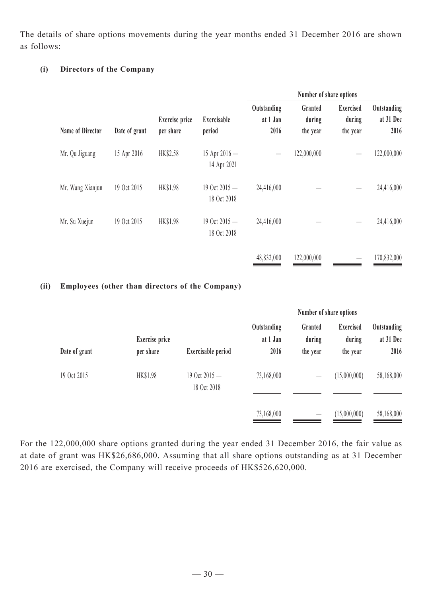The details of share options movements during the year months ended 31 December 2016 are shown as follows:

# **(i) Directors of the Company**

|                         |               |                                    |                                | Number of share options         |                               |                                        |                                  |
|-------------------------|---------------|------------------------------------|--------------------------------|---------------------------------|-------------------------------|----------------------------------------|----------------------------------|
| <b>Name of Director</b> | Date of grant | <b>Exercise</b> price<br>per share | Exercisable<br>period          | Outstanding<br>at 1 Jan<br>2016 | Granted<br>during<br>the year | <b>Exercised</b><br>during<br>the year | Outstanding<br>at 31 Dec<br>2016 |
| Mr. Qu Jiguang          | 15 Apr 2016   | HK\$2.58                           | 15 Apr $2016 -$<br>14 Apr 2021 |                                 | 122,000,000                   |                                        | 122,000,000                      |
| Mr. Wang Xianjun        | 19 Oct 2015   | <b>HK\$1.98</b>                    | 19 Oct 2015 -<br>18 Oct 2018   | 24,416,000                      |                               |                                        | 24,416,000                       |
| Mr. Su Xuejun           | 19 Oct 2015   | HK\$1.98                           | 19 Oct 2015 -<br>18 Oct 2018   | 24,416,000                      |                               |                                        | 24,416,000                       |
|                         |               |                                    |                                | 48,832,000                      | 122,000,000                   |                                        | 170,832,000                      |

## **(ii) Employees (other than directors of the Company)**

|               |                                    |                                | Number of share options         |                                 |                                        |                                  |
|---------------|------------------------------------|--------------------------------|---------------------------------|---------------------------------|----------------------------------------|----------------------------------|
| Date of grant | <b>Exercise</b> price<br>per share | Exercisable period             | Outstanding<br>at 1 Jan<br>2016 | Granted<br>during<br>the year   | <b>Exercised</b><br>during<br>the year | Outstanding<br>at 31 Dec<br>2016 |
| 19 Oct 2015   | HK\$1.98                           | 19 Oct $2015 -$<br>18 Oct 2018 | 73,168,000                      |                                 | (15,000,000)                           | 58,168,000                       |
|               |                                    |                                | 73,168,000                      | $\hspace{0.1mm}-\hspace{0.1mm}$ | (15,000,000)                           | 58,168,000                       |

For the 122,000,000 share options granted during the year ended 31 December 2016, the fair value as at date of grant was HK\$26,686,000. Assuming that all share options outstanding as at 31 December 2016 are exercised, the Company will receive proceeds of HK\$526,620,000.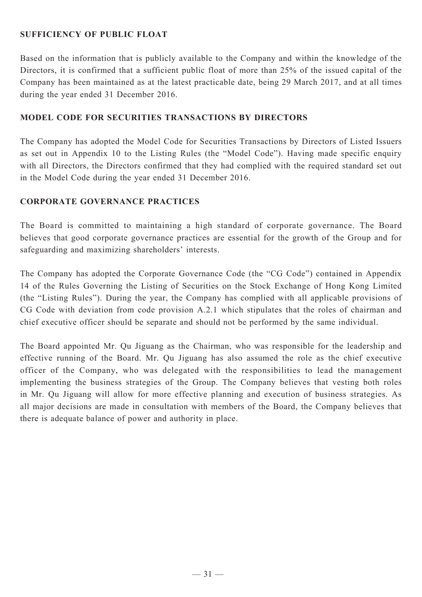# **SUFFICIENCY OF PUBLIC FLOAT**

Based on the information that is publicly available to the Company and within the knowledge of the Directors, it is confirmed that a sufficient public float of more than 25% of the issued capital of the Company has been maintained as at the latest practicable date, being 29 March 2017, and at all times during the year ended 31 December 2016.

## **Model Code for Securities Transactions by Directors**

The Company has adopted the Model Code for Securities Transactions by Directors of Listed Issuers as set out in Appendix 10 to the Listing Rules (the "Model Code"). Having made specific enquiry with all Directors, the Directors confirmed that they had complied with the required standard set out in the Model Code during the year ended 31 December 2016.

## **Corporate Governance Practices**

The Board is committed to maintaining a high standard of corporate governance. The Board believes that good corporate governance practices are essential for the growth of the Group and for safeguarding and maximizing shareholders' interests.

The Company has adopted the Corporate Governance Code (the "CG Code") contained in Appendix 14 of the Rules Governing the Listing of Securities on the Stock Exchange of Hong Kong Limited (the "Listing Rules"). During the year, the Company has complied with all applicable provisions of CG Code with deviation from code provision A.2.1 which stipulates that the roles of chairman and chief executive officer should be separate and should not be performed by the same individual.

The Board appointed Mr. Qu Jiguang as the Chairman, who was responsible for the leadership and effective running of the Board. Mr. Qu Jiguang has also assumed the role as the chief executive officer of the Company, who was delegated with the responsibilities to lead the management implementing the business strategies of the Group. The Company believes that vesting both roles in Mr. Qu Jiguang will allow for more effective planning and execution of business strategies. As all major decisions are made in consultation with members of the Board, the Company believes that there is adequate balance of power and authority in place.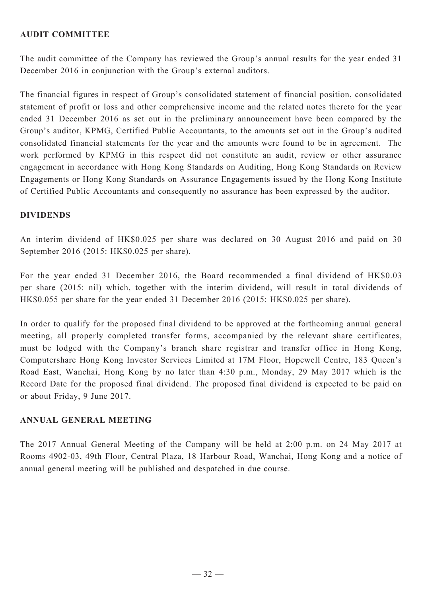# **AUDIT COMMITTEE**

The audit committee of the Company has reviewed the Group's annual results for the year ended 31 December 2016 in conjunction with the Group's external auditors.

The financial figures in respect of Group's consolidated statement of financial position, consolidated statement of profit or loss and other comprehensive income and the related notes thereto for the year ended 31 December 2016 as set out in the preliminary announcement have been compared by the Group's auditor, KPMG, Certified Public Accountants, to the amounts set out in the Group's audited consolidated financial statements for the year and the amounts were found to be in agreement. The work performed by KPMG in this respect did not constitute an audit, review or other assurance engagement in accordance with Hong Kong Standards on Auditing, Hong Kong Standards on Review Engagements or Hong Kong Standards on Assurance Engagements issued by the Hong Kong Institute of Certified Public Accountants and consequently no assurance has been expressed by the auditor.

#### **DIVIDENDS**

An interim dividend of HK\$0.025 per share was declared on 30 August 2016 and paid on 30 September 2016 (2015: HK\$0.025 per share).

For the year ended 31 December 2016, the Board recommended a final dividend of HK\$0.03 per share (2015: nil) which, together with the interim dividend, will result in total dividends of HK\$0.055 per share for the year ended 31 December 2016 (2015: HK\$0.025 per share).

In order to qualify for the proposed final dividend to be approved at the forthcoming annual general meeting, all properly completed transfer forms, accompanied by the relevant share certificates, must be lodged with the Company's branch share registrar and transfer office in Hong Kong, Computershare Hong Kong Investor Services Limited at 17M Floor, Hopewell Centre, 183 Queen's Road East, Wanchai, Hong Kong by no later than 4:30 p.m., Monday, 29 May 2017 which is the Record Date for the proposed final dividend. The proposed final dividend is expected to be paid on or about Friday, 9 June 2017.

## **ANNUAL GENERAL MEETING**

The 2017 Annual General Meeting of the Company will be held at 2:00 p.m. on 24 May 2017 at Rooms 4902-03, 49th Floor, Central Plaza, 18 Harbour Road, Wanchai, Hong Kong and a notice of annual general meeting will be published and despatched in due course.